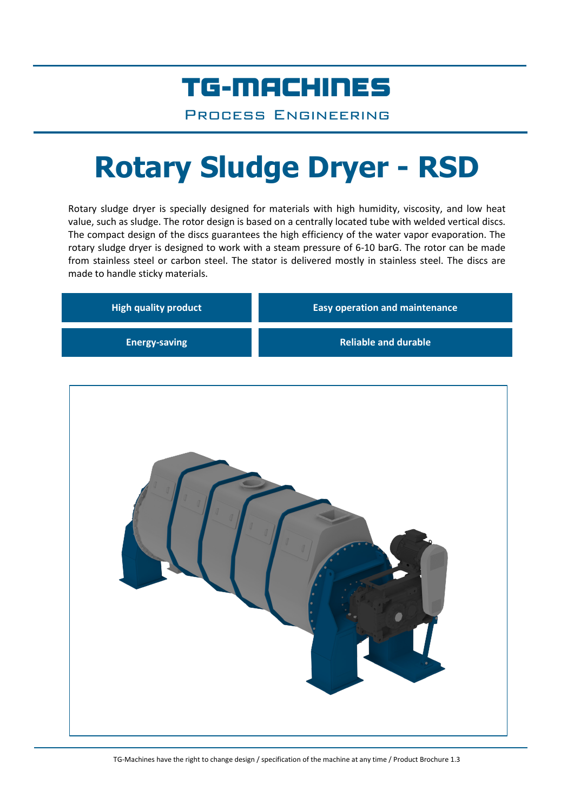## TG-MACHINES

Process Engineering

# **Rotary Sludge Dryer - RSD**

Rotary sludge dryer is specially designed for materials with high humidity, viscosity, and low heat value, such as sludge. The rotor design is based on a centrally located tube with welded vertical discs. The compact design of the discs guarantees the high efficiency of the water vapor evaporation. The rotary sludge dryer is designed to work with a steam pressure of 6-10 barG. The rotor can be made from stainless steel or carbon steel. The stator is delivered mostly in stainless steel. The discs are made to handle sticky materials.